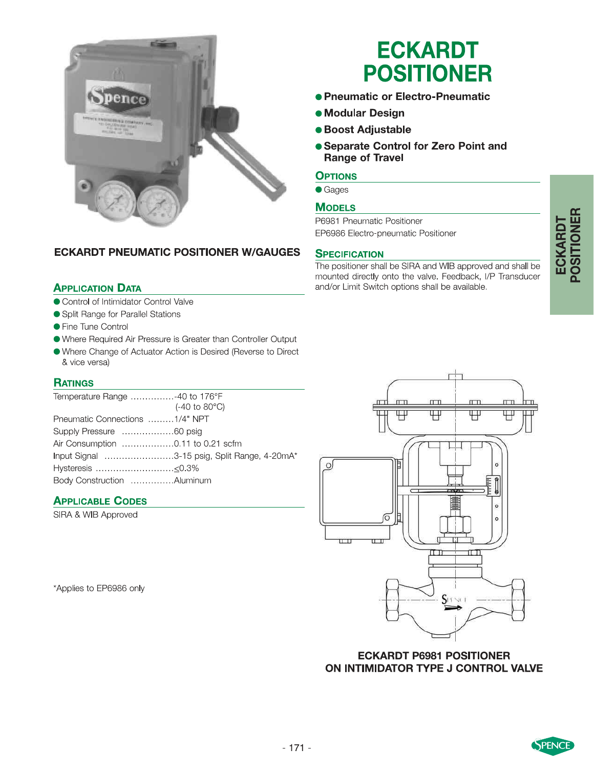



## **ECKARDT PNEUMATIC POSITIONER W/GAUGES**

### **APPLICATION DATA**

- Control of Intimidator Control Valve
- Split Range for Parallel Stations
- Fine Tune Control
- Where Required Air Pressure is Greater than Controller Output
- Where Change of Actuator Action is Desired (Reverse to Direct & vice versa)

#### **RATINGS**

| Temperature Range -40 to 176°F |                                              |
|--------------------------------|----------------------------------------------|
|                                | $(-40 \text{ to } 80^{\circ}\text{C})$       |
| Pneumatic Connections 1/4" NPT |                                              |
|                                |                                              |
|                                |                                              |
|                                | Input Signal 3-15 psig, Split Range, 4-20mA* |
|                                |                                              |
| Body Construction Aluminum     |                                              |

#### **APPLICABLE CODES**

SIRA & WIB Approved

\*Applies to EP6986 only

## **ECKARDT POSITIONER**

- Pneumatic or Electro-Pneumatic
- Modular Design
- **.** Boost Adjustable
- Separate Control for Zero Point and **Range of Travel**

#### **OPTIONS**

**Gages** 

#### **MODELS**

P6981 Pneumatic Positioner EP6986 Electro-pneumatic Positioner

#### **SPECIFICATION**

The positioner shall be SIRA and WIB approved and shall be mounted directly onto the valve. Feedback, I/P Transducer and/or Limit Switch options shall be available.



**ECKARDT P6981 POSITIONER** ON INTIMIDATOR TYPE J CONTROL VALVE

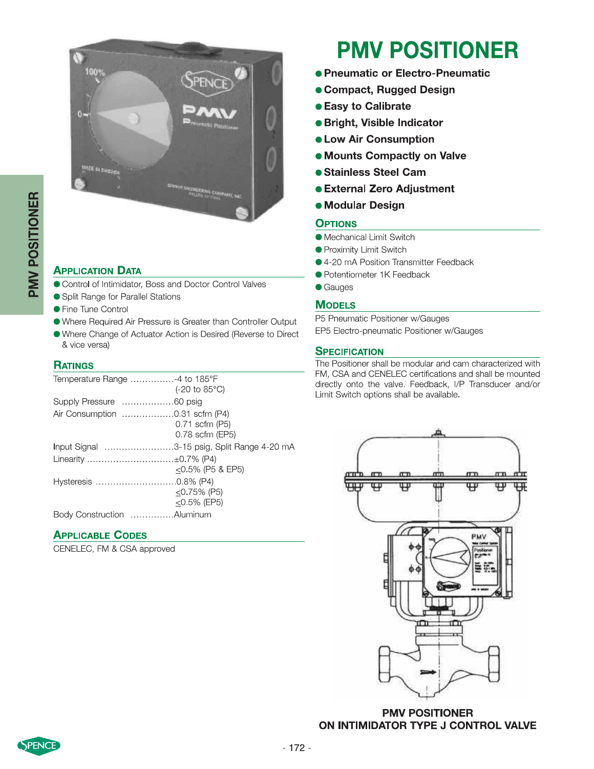

## **APPLICATION DATA**

- Control of Intimidator, Boss and Doctor Control Valves
- Split Range for Parallel Stations
- Fine Tune Control
- Where Required Air Pressure is Greater than Controller Output
- Where Change of Actuator Action is Desired (Reverse to Direct & vice versa)

#### **RATINGS**

| Temperature Range 4 to 185°F   |                                             |
|--------------------------------|---------------------------------------------|
|                                | $(-20 \text{ to } 85^{\circ}\text{C})$      |
| Supply Pressure 60 psig        |                                             |
| Air Consumption 0.31 scfm (P4) |                                             |
|                                | 0.71 scfm (P5)                              |
|                                | 0.78 scfm (EP5)                             |
|                                | Input Signal 3-15 psig, Split Range 4-20 mA |
| Linearity ±0.7% (P4)           |                                             |
|                                | $<$ 0.5% (P5 & EP5)                         |
|                                |                                             |
|                                | $<$ 0.75% (P5)                              |
|                                | $<$ 0.5% (EP5)                              |
| Body Construction Aluminum     |                                             |

#### **APPLICABLE CODES**

CENELEC, FM & CSA approved

## **PMV POSITIONER**

- Pneumatic or Electro-Pneumatic
- Compact, Rugged Design
- **Easy to Calibrate**
- · Bright, Visible Indicator
- **. Low Air Consumption**
- **.** Mounts Compactly on Valve
- **.** Stainless Steel Cam
- External Zero Adjustment
- **Modular Design**

#### **OPTIONS**

- **Mechanical Limit Switch**
- Proximity Limit Switch
- 4-20 mA Position Transmitter Feedback
- Potentiometer 1K Feedback
- **C**Gauges

#### **MODELS**

P5 Pneumatic Positioner w/Gauges

EP5 Electro-pneumatic Positioner w/Gauges

#### **SPECIFICATION**

The Positioner shall be modular and cam characterized with FM, CSA and CENELEC certifications and shall be mounted directly onto the valve. Feedback, I/P Transducer and/or Limit Switch options shall be available.



**PMV POSITIONER** ON INTIMIDATOR TYPE J CONTROL VALVE